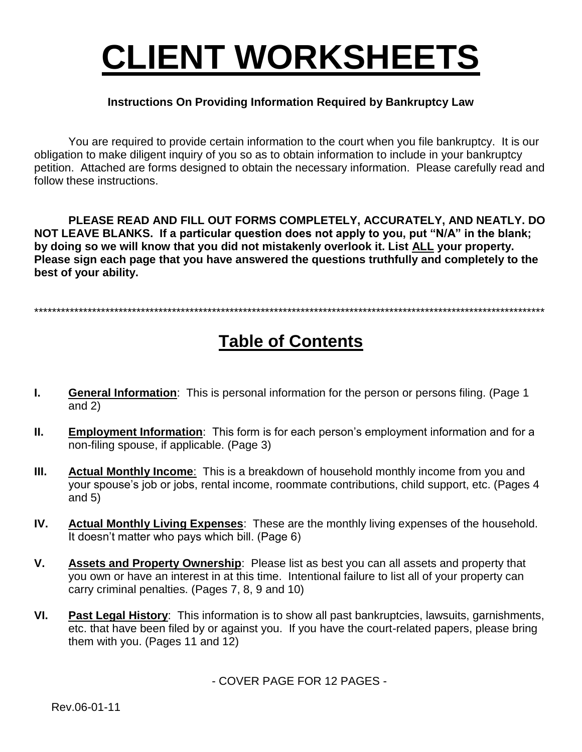# **CLIENT WORKSHEETS**

#### **Instructions On Providing Information Required by Bankruptcy Law**

You are required to provide certain information to the court when you file bankruptcy. It is our obligation to make diligent inquiry of you so as to obtain information to include in your bankruptcy petition. Attached are forms designed to obtain the necessary information. Please carefully read and follow these instructions.

PLEASE READ AND FILL OUT FORMS COMPLETELY, ACCURATELY, AND NEATLY. DO NOT LEAVE BLANKS. If a particular question does not apply to you, put "N/A" in the blank; by doing so we will know that you did not mistakenly overlook it. List ALL your property. Please sign each page that you have answered the questions truthfully and completely to the best of your ability.

## **Table of Contents**

- $\mathbf{L}$ **General Information:** This is personal information for the person or persons filing. (Page 1) and  $2)$
- $II.$ **Employment Information:** This form is for each person's employment information and for a non-filing spouse, if applicable. (Page 3)
- $III.$ Actual Monthly Income: This is a breakdown of household monthly income from you and your spouse's job or jobs, rental income, roommate contributions, child support, etc. (Pages 4 and  $5)$
- IV. Actual Monthly Living Expenses: These are the monthly living expenses of the household. It doesn't matter who pays which bill. (Page 6)
- V. Assets and Property Ownership: Please list as best you can all assets and property that you own or have an interest in at this time. Intentional failure to list all of your property can carry criminal penalties. (Pages 7, 8, 9 and 10)
- VI. Past Legal History: This information is to show all past bankruptcies, lawsuits, garnishments, etc. that have been filed by or against you. If you have the court-related papers, please bring them with you. (Pages 11 and 12)

- COVER PAGE FOR 12 PAGES -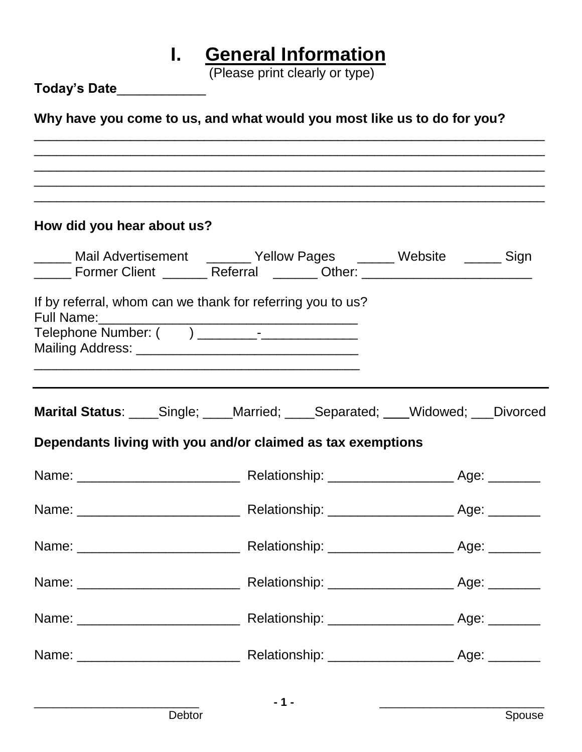# **I. General Information**

(Please print clearly or type)

| IF IGASC DIIIIL GIGALIY OF TYPG)<br>Today's Date____________                                                                                                          |                                                                                                                  |                                                                   |  |  |  |  |  |
|-----------------------------------------------------------------------------------------------------------------------------------------------------------------------|------------------------------------------------------------------------------------------------------------------|-------------------------------------------------------------------|--|--|--|--|--|
| Why have you come to us, and what would you most like us to do for you?                                                                                               |                                                                                                                  |                                                                   |  |  |  |  |  |
| ,我们也不能会有什么。""我们的人,我们也不能会有什么?""我们的人,我们也不能会有什么?""我们的人,我们也不能会有什么?""我们的人,我们也不能会有什么?""<br>,我们也不会有什么。""我们的人,我们也不会有什么?""我们的人,我们也不会有什么?""我们的人,我们也不会有什么?""我们的人,我们也不会有什么?""我们的人 |                                                                                                                  | <u> 1989 - Johann John Stone, Amerikaansk politiker (d. 1989)</u> |  |  |  |  |  |
| How did you hear about us?                                                                                                                                            |                                                                                                                  |                                                                   |  |  |  |  |  |
| Mail Advertisement (Allow Pages (Allow Pages Computer 2016) Sign<br>______ Former Client _______ Referral ______ Other: ____________________________                  |                                                                                                                  |                                                                   |  |  |  |  |  |
| If by referral, whom can we thank for referring you to us?<br><b>Full Name:</b>                                                                                       | and the control of the control of the control of the control of the control of the control of the control of the |                                                                   |  |  |  |  |  |
| <b>Marital Status:</b> _____Single; _____Married; _____Separated; ____Widowed; ___Divorced                                                                            |                                                                                                                  |                                                                   |  |  |  |  |  |
| Dependants living with you and/or claimed as tax exemptions                                                                                                           |                                                                                                                  |                                                                   |  |  |  |  |  |
|                                                                                                                                                                       |                                                                                                                  |                                                                   |  |  |  |  |  |
|                                                                                                                                                                       |                                                                                                                  |                                                                   |  |  |  |  |  |
|                                                                                                                                                                       |                                                                                                                  |                                                                   |  |  |  |  |  |
|                                                                                                                                                                       |                                                                                                                  |                                                                   |  |  |  |  |  |
|                                                                                                                                                                       |                                                                                                                  |                                                                   |  |  |  |  |  |
|                                                                                                                                                                       |                                                                                                                  |                                                                   |  |  |  |  |  |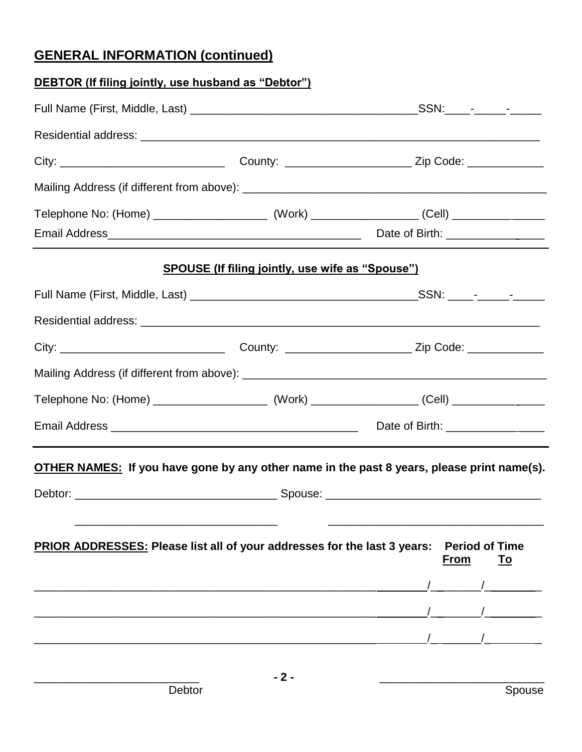## **GENERAL INFORMATION (continued)**

| <b>DEBTOR (If filing jointly, use husband as "Debtor")</b>                                 |                                                         |  |                                            |  |  |
|--------------------------------------------------------------------------------------------|---------------------------------------------------------|--|--------------------------------------------|--|--|
|                                                                                            |                                                         |  |                                            |  |  |
|                                                                                            |                                                         |  |                                            |  |  |
|                                                                                            |                                                         |  |                                            |  |  |
|                                                                                            |                                                         |  |                                            |  |  |
|                                                                                            |                                                         |  |                                            |  |  |
|                                                                                            |                                                         |  |                                            |  |  |
|                                                                                            | <b>SPOUSE (If filing jointly, use wife as "Spouse")</b> |  |                                            |  |  |
|                                                                                            |                                                         |  |                                            |  |  |
|                                                                                            |                                                         |  |                                            |  |  |
|                                                                                            |                                                         |  |                                            |  |  |
|                                                                                            |                                                         |  |                                            |  |  |
|                                                                                            |                                                         |  |                                            |  |  |
|                                                                                            |                                                         |  |                                            |  |  |
| OTHER NAMES: If you have gone by any other name in the past 8 years, please print name(s). |                                                         |  |                                            |  |  |
|                                                                                            |                                                         |  |                                            |  |  |
| PRIOR ADDRESSES: Please list all of your addresses for the last 3 years:                   |                                                         |  | <b>Period of Time</b><br><b>From</b><br>To |  |  |
|                                                                                            |                                                         |  |                                            |  |  |
|                                                                                            |                                                         |  |                                            |  |  |
|                                                                                            |                                                         |  |                                            |  |  |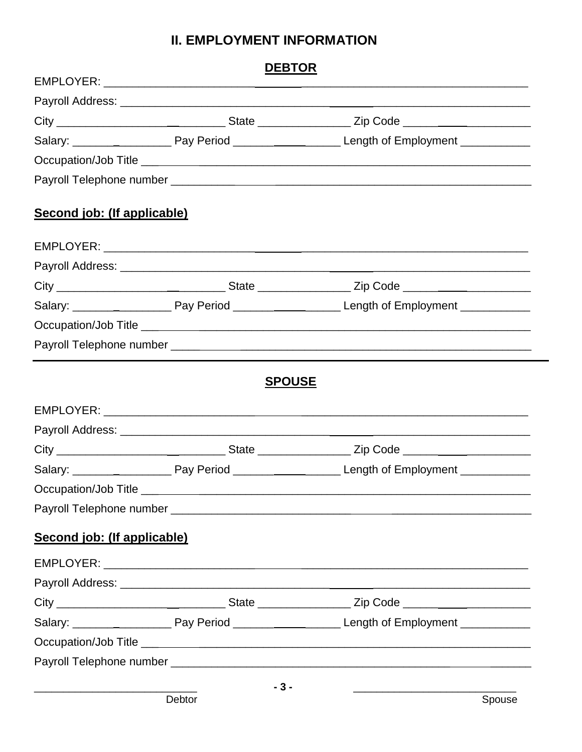#### **II. EMPLOYMENT INFORMATION**

|                             | <b>DEBTOR</b> |                                                                                                            |
|-----------------------------|---------------|------------------------------------------------------------------------------------------------------------|
|                             |               |                                                                                                            |
|                             |               | City ___________________________________State __________________Zip Code __________________________        |
|                             |               | Salary: ___________________________Pay Period __________________________Length of Employment _____________ |
|                             |               |                                                                                                            |
|                             |               |                                                                                                            |
| Second job: (If applicable) |               |                                                                                                            |
|                             |               |                                                                                                            |
|                             |               |                                                                                                            |
|                             |               | City ___________________________________State ___________________Zip Code _________________________        |
|                             |               |                                                                                                            |
|                             |               |                                                                                                            |
|                             |               |                                                                                                            |
|                             |               |                                                                                                            |
|                             |               |                                                                                                            |
|                             |               | City ___________________________________State __________________Zip Code __________________________        |
|                             |               | Salary: __________________________Pay Period ___________________________Length of Employment _____________ |
|                             |               |                                                                                                            |
|                             |               |                                                                                                            |
|                             |               |                                                                                                            |
|                             |               |                                                                                                            |
|                             |               |                                                                                                            |
| Second job: (If applicable) |               |                                                                                                            |
|                             |               |                                                                                                            |
|                             |               |                                                                                                            |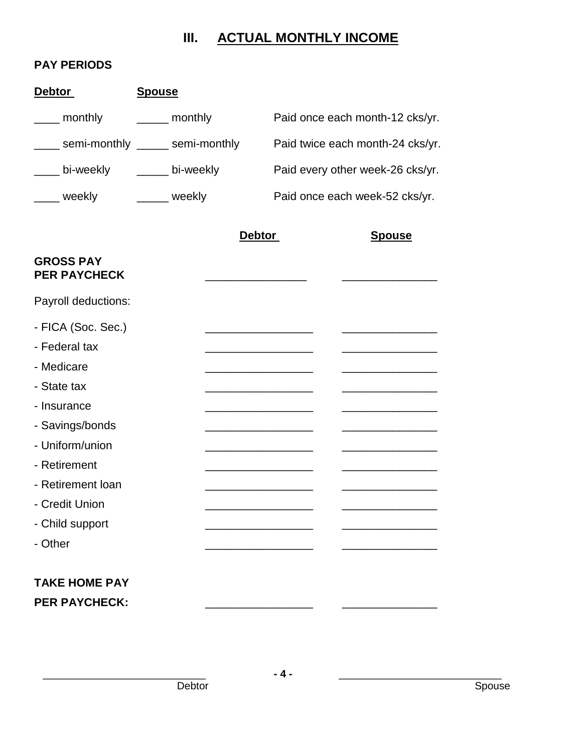## **III. ACTUAL MONTHLY INCOME**

#### **PAY PERIODS**

| <b>Debtor</b>                           | <b>Spouse</b>   |               |                                  |
|-----------------------------------------|-----------------|---------------|----------------------------------|
| <sub>___</sub> monthly                  | _______ monthly |               | Paid once each month-12 cks/yr.  |
| ___ semi-monthly _____ semi-monthly     |                 |               | Paid twice each month-24 cks/yr. |
| ____ bi-weekly _____ bi-weekly          |                 |               | Paid every other week-26 cks/yr. |
| ____ weekly                             | ______ weekly   |               | Paid once each week-52 cks/yr.   |
|                                         |                 | <b>Debtor</b> | <b>Spouse</b>                    |
| <b>GROSS PAY</b><br><b>PER PAYCHECK</b> |                 |               |                                  |
| Payroll deductions:                     |                 |               |                                  |
| - FICA (Soc. Sec.)                      |                 |               |                                  |
| - Federal tax                           |                 |               |                                  |
| - Medicare                              |                 |               |                                  |
| - State tax                             |                 |               |                                  |
| - Insurance                             |                 |               |                                  |
| - Savings/bonds                         |                 |               |                                  |
| - Uniform/union                         |                 |               |                                  |
| - Retirement                            |                 |               |                                  |
| - Retirement loan                       |                 |               |                                  |
| - Credit Union                          |                 |               |                                  |
| - Child support                         |                 |               |                                  |
| - Other                                 |                 |               |                                  |
| <b>TAKE HOME PAY</b>                    |                 |               |                                  |
| <b>PER PAYCHECK:</b>                    |                 |               |                                  |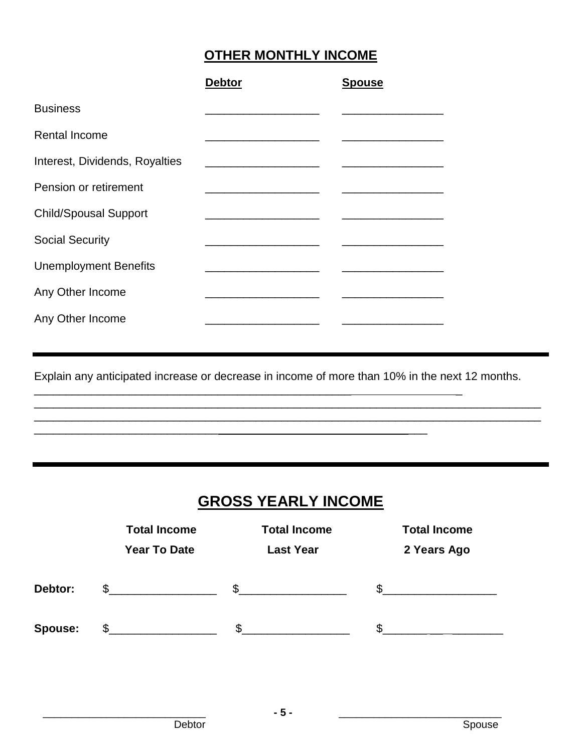## **OTHER MONTHLY INCOME**

|                                | <b>Debtor</b> | <b>Spouse</b> |
|--------------------------------|---------------|---------------|
| <b>Business</b>                |               |               |
| <b>Rental Income</b>           |               |               |
| Interest, Dividends, Royalties |               |               |
| Pension or retirement          |               |               |
| <b>Child/Spousal Support</b>   |               |               |
| <b>Social Security</b>         |               |               |
| <b>Unemployment Benefits</b>   |               |               |
| Any Other Income               |               |               |
| Any Other Income               |               |               |

Explain any anticipated increase or decrease in income of more than 10% in the next 12 months.

\_\_\_\_\_\_\_\_\_\_\_\_\_\_\_\_\_\_\_\_\_\_\_\_\_\_\_\_\_\_\_\_\_\_\_\_\_\_\_\_\_\_\_\_\_\_\_\_\_\_\_\_\_\_\_\_\_\_\_\_\_\_\_\_\_\_\_\_\_\_\_\_\_\_\_\_\_\_\_\_ \_\_\_\_\_\_\_\_\_\_\_\_\_\_\_\_\_\_\_\_\_\_\_\_\_\_\_\_\_\_\_\_\_\_\_\_\_\_\_\_\_\_\_\_\_\_\_\_\_\_\_\_\_\_\_\_\_\_\_\_\_\_\_\_\_\_\_\_\_\_\_\_\_\_\_\_\_\_\_\_

\_\_\_\_\_\_\_\_\_\_\_\_\_\_\_\_\_\_\_\_\_\_\_\_\_\_\_\_\_\_\_\_\_\_\_\_\_\_\_\_\_\_\_\_\_\_\_\_\_\_ \_

\_\_\_\_\_\_\_\_\_\_\_\_\_\_\_\_\_\_\_\_\_\_\_\_\_\_\_\_\_ \_\_\_

## **GROSS YEARLY INCOME**

|                | <b>Total Income</b> | <b>Total Income</b> | <b>Total Income</b> |
|----------------|---------------------|---------------------|---------------------|
|                | <b>Year To Date</b> | <b>Last Year</b>    | 2 Years Ago         |
| Debtor:        | \$                  | \$.                 |                     |
| <b>Spouse:</b> |                     |                     |                     |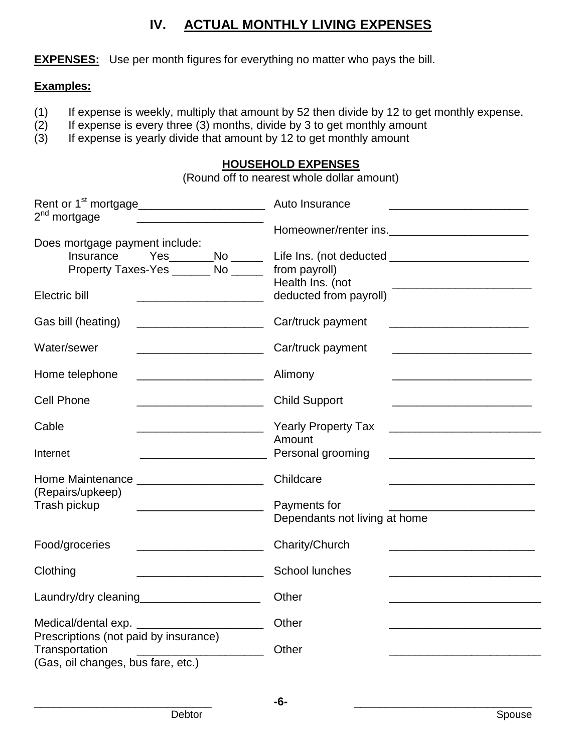### **IV. ACTUAL MONTHLY LIVING EXPENSES**

**EXPENSES:** Use per month figures for everything no matter who pays the bill.

#### **Examples:**

- (1) If expense is weekly, multiply that amount by 52 then divide by 12 to get monthly expense.
- $(2)$  If expense is every three  $(3)$  months, divide by 3 to get monthly amount
- (3) If expense is yearly divide that amount by 12 to get monthly amount

#### **HOUSEHOLD EXPENSES**

(Round off to nearest whole dollar amount)

| Rent or 1 <sup>st</sup> mortgage______________________<br>2 <sup>nd</sup> mortgage<br>the control of the control of the control of the control of the control of the control of | Auto Insurance                                                                                                                             |
|---------------------------------------------------------------------------------------------------------------------------------------------------------------------------------|--------------------------------------------------------------------------------------------------------------------------------------------|
|                                                                                                                                                                                 | Homeowner/renter ins.                                                                                                                      |
| Does mortgage payment include:                                                                                                                                                  |                                                                                                                                            |
| Insurance<br>Yes_______No _____                                                                                                                                                 |                                                                                                                                            |
| Property Taxes-Yes ________ No ______                                                                                                                                           | from payroll)                                                                                                                              |
|                                                                                                                                                                                 | Health Ins. (not<br><u> 1980 - Johann Stein, marwolaethau a bhann an t-Amhair an t-Amhair an t-Amhair an t-Amhair an t-Amhair an t-A</u>   |
| Electric bill<br><u> 1989 - Johann Barbara, martxa alemaniar a</u>                                                                                                              | deducted from payroll)                                                                                                                     |
| Gas bill (heating)<br><u> 1980 - Jan James James Barbara, político establecente de la propia de la propia de la propia de la propia de</u>                                      | Car/truck payment<br><u> 1990 - Johann John Stone, mars et al. (</u>                                                                       |
| Water/sewer<br><u> 1989 - Johann Barbara, martin basal da</u>                                                                                                                   | Car/truck payment<br><u> 1989 - Johann Barn, mars eta bainar eta baina eta baina eta baina eta baina eta baina eta baina eta baina e</u>   |
| Home telephone                                                                                                                                                                  | Alimony                                                                                                                                    |
| <b>Cell Phone</b><br><u> 1980 - Johann Barbara, martin amerikan ba</u>                                                                                                          | <b>Child Support</b>                                                                                                                       |
|                                                                                                                                                                                 |                                                                                                                                            |
| Cable                                                                                                                                                                           | <b>Yearly Property Tax</b>                                                                                                                 |
|                                                                                                                                                                                 | Amount                                                                                                                                     |
| Internet<br><u> 2000 - Jan James James Jan James James Jan James James James James James James James James James James James</u>                                                | Personal grooming<br><u> 1989 - Johann Harry Harry Harry Harry Harry Harry Harry Harry Harry Harry Harry Harry Harry Harry Harry Harry</u> |
| Home Maintenance ________________________                                                                                                                                       | Childcare                                                                                                                                  |
| (Repairs/upkeep)                                                                                                                                                                |                                                                                                                                            |
| Trash pickup                                                                                                                                                                    | Payments for                                                                                                                               |
|                                                                                                                                                                                 | Dependants not living at home                                                                                                              |
| Food/groceries                                                                                                                                                                  | Charity/Church                                                                                                                             |
| Clothing                                                                                                                                                                        | School lunches                                                                                                                             |
| Laundry/dry cleaning_______________________                                                                                                                                     | Other                                                                                                                                      |
|                                                                                                                                                                                 | Other                                                                                                                                      |
| Medical/dental exp.                                                                                                                                                             |                                                                                                                                            |
| Prescriptions (not paid by insurance)<br>Transportation                                                                                                                         | Other                                                                                                                                      |
| <u> 2000 - Jan James James Barbara, president eta probabilitar eta presidentzia eta presidentzia eta presidentzi</u><br>(Gas, oil changes, bus fare, etc.)                      |                                                                                                                                            |
|                                                                                                                                                                                 |                                                                                                                                            |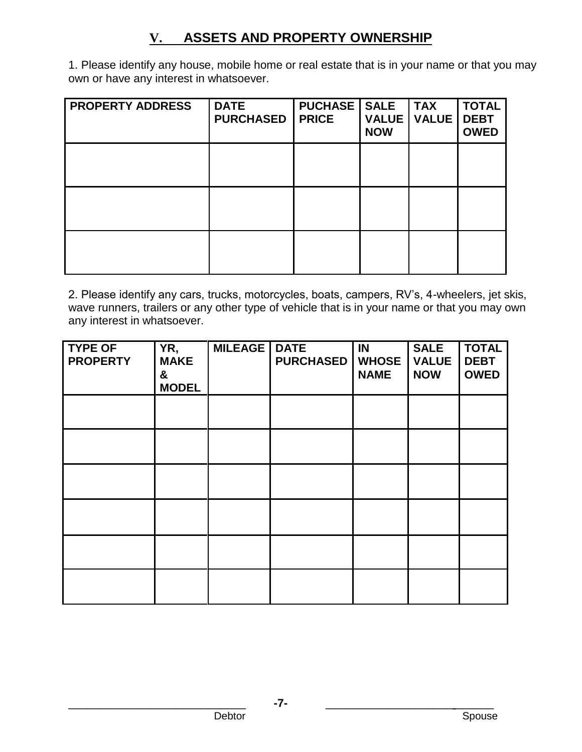## **V. ASSETS AND PROPERTY OWNERSHIP**

1. Please identify any house, mobile home or real estate that is in your name or that you may own or have any interest in whatsoever.

| <b>PROPERTY ADDRESS</b> | <b>DATE</b><br><b>PURCHASED</b> | <b>PUCHASE</b><br><b>PRICE</b> | <b>SALE</b><br><b>VALUE</b><br><b>NOW</b> | <b>TAX</b><br><b>VALUE</b> | <b>TOTAL</b><br><b>DEBT</b><br><b>OWED</b> |
|-------------------------|---------------------------------|--------------------------------|-------------------------------------------|----------------------------|--------------------------------------------|
|                         |                                 |                                |                                           |                            |                                            |
|                         |                                 |                                |                                           |                            |                                            |
|                         |                                 |                                |                                           |                            |                                            |

2. Please identify any cars, trucks, motorcycles, boats, campers, RV's, 4-wheelers, jet skis, wave runners, trailers or any other type of vehicle that is in your name or that you may own any interest in whatsoever.

| <b>TYPE OF</b><br><b>PROPERTY</b> | YR,<br><b>MAKE</b><br>&<br><b>MODEL</b> | <b>MILEAGE</b> | <b>DATE</b><br><b>PURCHASED</b> | IN<br><b>WHOSE</b><br><b>NAME</b> | <b>SALE</b><br><b>VALUE</b><br><b>NOW</b> | <b>TOTAL</b><br><b>DEBT</b><br><b>OWED</b> |
|-----------------------------------|-----------------------------------------|----------------|---------------------------------|-----------------------------------|-------------------------------------------|--------------------------------------------|
|                                   |                                         |                |                                 |                                   |                                           |                                            |
|                                   |                                         |                |                                 |                                   |                                           |                                            |
|                                   |                                         |                |                                 |                                   |                                           |                                            |
|                                   |                                         |                |                                 |                                   |                                           |                                            |
|                                   |                                         |                |                                 |                                   |                                           |                                            |
|                                   |                                         |                |                                 |                                   |                                           |                                            |

\_\_\_\_\_\_\_\_\_\_\_\_\_\_\_\_\_\_\_\_\_\_\_\_\_\_\_\_ **-7-** \_\_\_\_\_\_\_\_\_\_\_\_\_\_\_\_\_\_\_\_ \_\_\_\_\_\_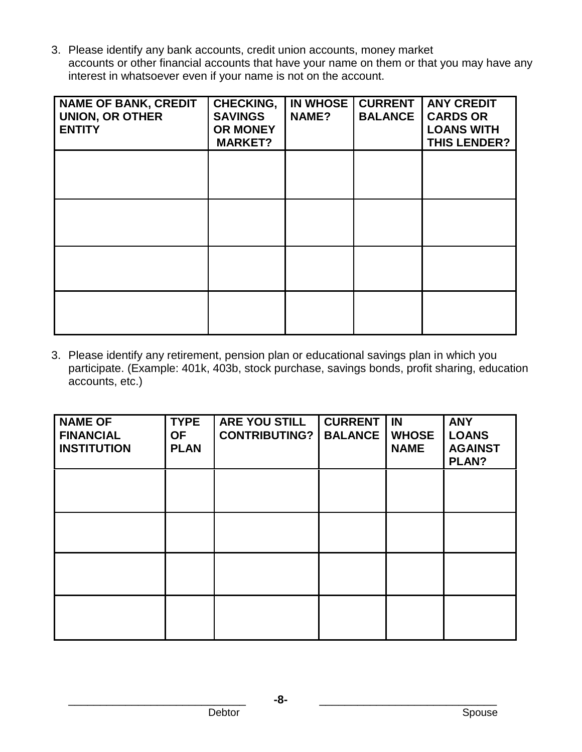3. Please identify any bank accounts, credit union accounts, money market accounts or other financial accounts that have your name on them or that you may have any interest in whatsoever even if your name is not on the account.

| <b>NAME OF BANK, CREDIT</b><br><b>UNION, OR OTHER</b><br><b>ENTITY</b> | <b>CHECKING,</b><br><b>SAVINGS</b><br><b>OR MONEY</b><br><b>MARKET?</b> | <b>IN WHOSE</b><br><b>NAME?</b> | <b>CURRENT</b><br><b>BALANCE</b> | <b>ANY CREDIT</b><br><b>CARDS OR</b><br><b>LOANS WITH</b><br><b>THIS LENDER?</b> |
|------------------------------------------------------------------------|-------------------------------------------------------------------------|---------------------------------|----------------------------------|----------------------------------------------------------------------------------|
|                                                                        |                                                                         |                                 |                                  |                                                                                  |
|                                                                        |                                                                         |                                 |                                  |                                                                                  |
|                                                                        |                                                                         |                                 |                                  |                                                                                  |
|                                                                        |                                                                         |                                 |                                  |                                                                                  |

3. Please identify any retirement, pension plan or educational savings plan in which you participate. (Example: 401k, 403b, stock purchase, savings bonds, profit sharing, education accounts, etc.)

| <b>NAME OF</b><br><b>FINANCIAL</b><br><b>INSTITUTION</b> | <b>TYPE</b><br><b>OF</b><br><b>PLAN</b> | <b>ARE YOU STILL</b><br><b>CONTRIBUTING?</b> | <b>CURRENT</b><br><b>BALANCE</b> | IN<br><b>WHOSE</b><br><b>NAME</b> | <b>ANY</b><br><b>LOANS</b><br><b>AGAINST</b><br><b>PLAN?</b> |
|----------------------------------------------------------|-----------------------------------------|----------------------------------------------|----------------------------------|-----------------------------------|--------------------------------------------------------------|
|                                                          |                                         |                                              |                                  |                                   |                                                              |
|                                                          |                                         |                                              |                                  |                                   |                                                              |
|                                                          |                                         |                                              |                                  |                                   |                                                              |
|                                                          |                                         |                                              |                                  |                                   |                                                              |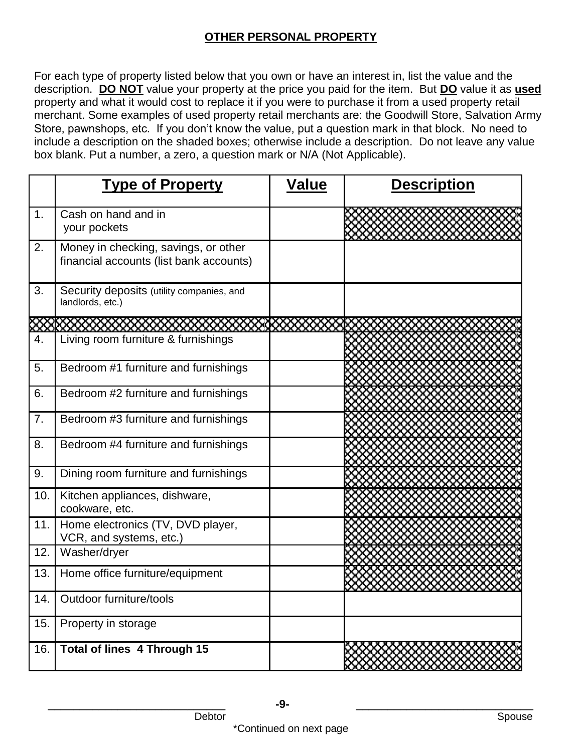#### **OTHER PERSONAL PROPERTY**

For each type of property listed below that you own or have an interest in, list the value and the description. **DO NOT** value your property at the price you paid for the item. But **DO** value it as **used** property and what it would cost to replace it if you were to purchase it from a used property retail merchant. Some examples of used property retail merchants are: the Goodwill Store, Salvation Army Store, pawnshops, etc. If you don't know the value, put a question mark in that block. No need to include a description on the shaded boxes; otherwise include a description. Do not leave any value box blank. Put a number, a zero, a question mark or N/A (Not Applicable).

|     | <b>Type of Property</b>                                                         | <u>Value</u> | <b>Description</b> |
|-----|---------------------------------------------------------------------------------|--------------|--------------------|
| 1.  | Cash on hand and in<br>your pockets                                             |              |                    |
| 2.  | Money in checking, savings, or other<br>financial accounts (list bank accounts) |              |                    |
| 3.  | Security deposits (utility companies, and<br>landlords, etc.)                   |              |                    |
|     |                                                                                 |              |                    |
| 4.  | Living room furniture & furnishings                                             |              |                    |
| 5.  | Bedroom #1 furniture and furnishings                                            |              |                    |
| 6.  | Bedroom #2 furniture and furnishings                                            |              |                    |
| 7.  | Bedroom #3 furniture and furnishings                                            |              |                    |
| 8.  | Bedroom #4 furniture and furnishings                                            |              |                    |
| 9.  | Dining room furniture and furnishings                                           |              |                    |
| 10. | Kitchen appliances, dishware,<br>cookware, etc.                                 |              |                    |
| 11. | Home electronics (TV, DVD player,<br>VCR, and systems, etc.)                    |              |                    |
| 12. | Washer/dryer                                                                    |              |                    |
| 13. | Home office furniture/equipment                                                 |              |                    |
| 14. | Outdoor furniture/tools                                                         |              |                    |
| 15. | Property in storage                                                             |              |                    |
| 16. | Total of lines 4 Through 15                                                     |              |                    |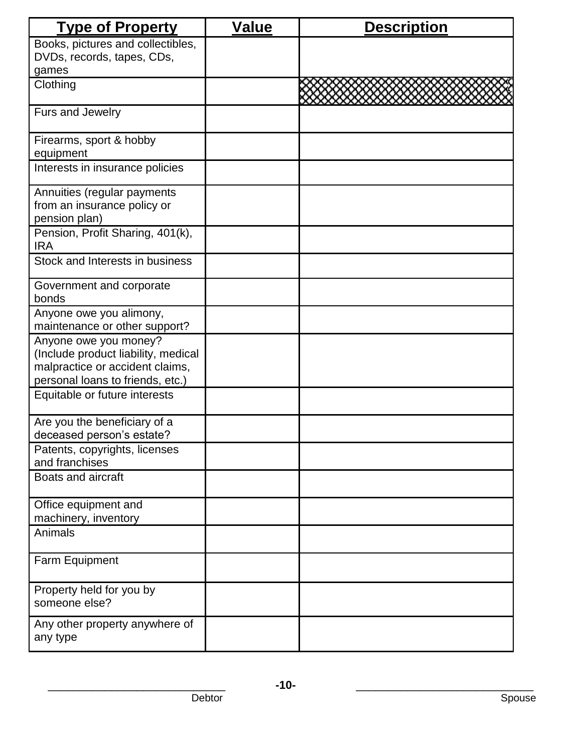| <b>Type of Property</b>                                                                                                             | <b>Value</b> | <b>Description</b> |
|-------------------------------------------------------------------------------------------------------------------------------------|--------------|--------------------|
| Books, pictures and collectibles,                                                                                                   |              |                    |
| DVDs, records, tapes, CDs,                                                                                                          |              |                    |
| games                                                                                                                               |              |                    |
| Clothing                                                                                                                            |              |                    |
| Furs and Jewelry                                                                                                                    |              |                    |
| Firearms, sport & hobby<br>equipment                                                                                                |              |                    |
|                                                                                                                                     |              |                    |
| Interests in insurance policies                                                                                                     |              |                    |
| Annuities (regular payments<br>from an insurance policy or<br>pension plan)                                                         |              |                    |
| Pension, Profit Sharing, 401(k),<br><b>IRA</b>                                                                                      |              |                    |
| Stock and Interests in business                                                                                                     |              |                    |
| Government and corporate<br>bonds                                                                                                   |              |                    |
| Anyone owe you alimony,<br>maintenance or other support?                                                                            |              |                    |
| Anyone owe you money?<br>(Include product liability, medical<br>malpractice or accident claims,<br>personal loans to friends, etc.) |              |                    |
| Equitable or future interests                                                                                                       |              |                    |
| Are you the beneficiary of a<br>deceased person's estate?                                                                           |              |                    |
| Patents, copyrights, licenses<br>and franchises                                                                                     |              |                    |
| Boats and aircraft                                                                                                                  |              |                    |
| Office equipment and                                                                                                                |              |                    |
| machinery, inventory                                                                                                                |              |                    |
| Animals                                                                                                                             |              |                    |
| Farm Equipment                                                                                                                      |              |                    |
| Property held for you by<br>someone else?                                                                                           |              |                    |
| Any other property anywhere of<br>any type                                                                                          |              |                    |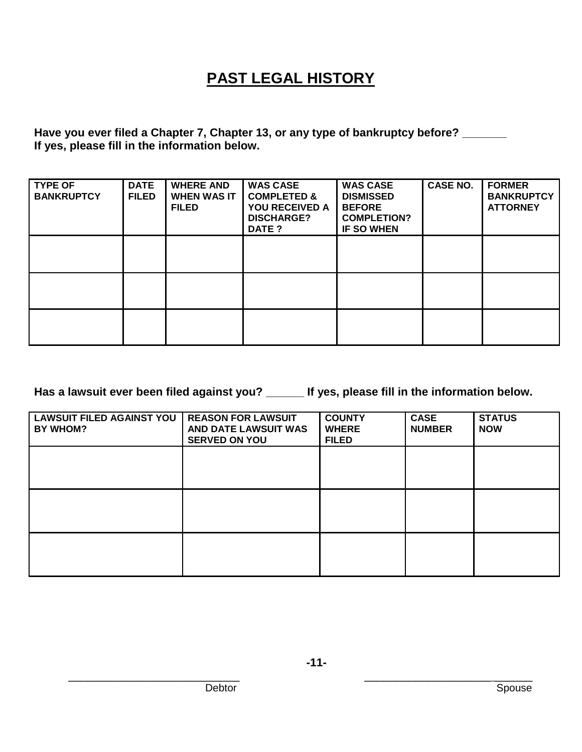## **PAST LEGAL HISTORY**

**Have you ever filed a Chapter 7, Chapter 13, or any type of bankruptcy before? \_\_\_\_\_\_\_ If yes, please fill in the information below.**

| <b>TYPE OF</b><br><b>BANKRUPTCY</b> | <b>DATE</b><br><b>FILED</b> | <b>WHERE AND</b><br><b>WHEN WAS IT</b><br><b>FILED</b> | <b>WAS CASE</b><br><b>COMPLETED &amp;</b><br><b>YOU RECEIVED A</b><br><b>DISCHARGE?</b><br><b>DATE ?</b> | <b>WAS CASE</b><br><b>DISMISSED</b><br><b>BEFORE</b><br><b>COMPLETION?</b><br><b>IF SO WHEN</b> | <b>CASE NO.</b> | <b>FORMER</b><br><b>BANKRUPTCY</b><br><b>ATTORNEY</b> |
|-------------------------------------|-----------------------------|--------------------------------------------------------|----------------------------------------------------------------------------------------------------------|-------------------------------------------------------------------------------------------------|-----------------|-------------------------------------------------------|
|                                     |                             |                                                        |                                                                                                          |                                                                                                 |                 |                                                       |
|                                     |                             |                                                        |                                                                                                          |                                                                                                 |                 |                                                       |
|                                     |                             |                                                        |                                                                                                          |                                                                                                 |                 |                                                       |

**Has a lawsuit ever been filed against you? \_\_\_\_\_\_ If yes, please fill in the information below.**

| LAWSUIT FILED AGAINST YOU<br><b>BY WHOM?</b> | <b>REASON FOR LAWSUIT</b><br>AND DATE LAWSUIT WAS<br><b>SERVED ON YOU</b> | <b>COUNTY</b><br><b>WHERE</b><br><b>FILED</b> | <b>CASE</b><br><b>NUMBER</b> | <b>STATUS</b><br><b>NOW</b> |
|----------------------------------------------|---------------------------------------------------------------------------|-----------------------------------------------|------------------------------|-----------------------------|
|                                              |                                                                           |                                               |                              |                             |
|                                              |                                                                           |                                               |                              |                             |
|                                              |                                                                           |                                               |                              |                             |

\_\_\_\_\_\_\_\_\_\_\_\_\_\_\_\_\_\_\_\_\_\_\_\_\_\_\_ \_\_\_\_\_\_\_\_\_\_\_\_\_\_\_\_\_\_\_\_ \_\_\_\_\_\_